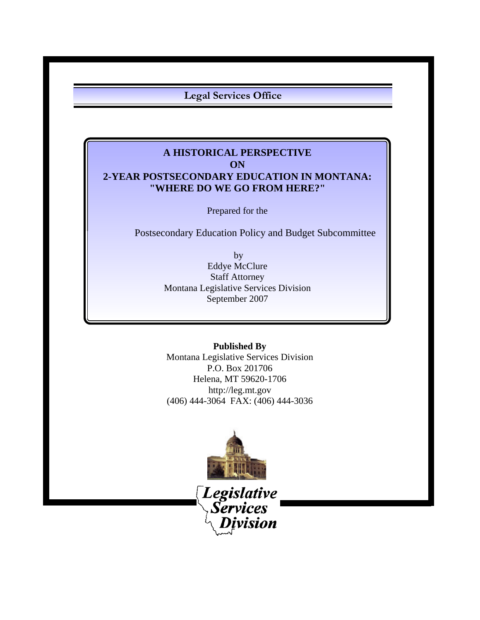**Legal Services Office**

# **A HISTORICAL PERSPECTIVE ON 2-YEAR POSTSECONDARY EDUCATION IN MONTANA: "WHERE DO WE GO FROM HERE?"**

Prepared for the

Postsecondary Education Policy and Budget Subcommittee

 by Eddye McClure Staff Attorney Montana Legislative Services Division September 2007

**Published By** Montana Legislative Services Division P.O. Box 201706 Helena, MT 59620-1706 http://leg.mt.gov (406) 444-3064 FAX: (406) 444-3036



*Legislative*<br>\*Services* vision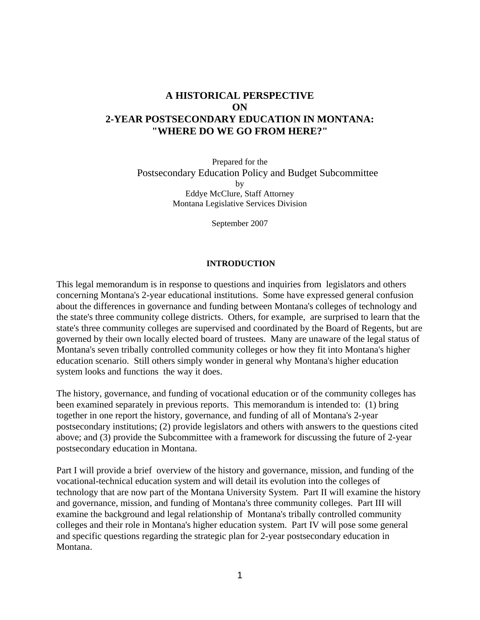# **A HISTORICAL PERSPECTIVE ON 2-YEAR POSTSECONDARY EDUCATION IN MONTANA: "WHERE DO WE GO FROM HERE?"**

Prepared for the Postsecondary Education Policy and Budget Subcommittee by Eddye McClure, Staff Attorney Montana Legislative Services Division

September 2007

#### **INTRODUCTION**

This legal memorandum is in response to questions and inquiries from legislators and others concerning Montana's 2-year educational institutions. Some have expressed general confusion about the differences in governance and funding between Montana's colleges of technology and the state's three community college districts. Others, for example, are surprised to learn that the state's three community colleges are supervised and coordinated by the Board of Regents, but are governed by their own locally elected board of trustees. Many are unaware of the legal status of Montana's seven tribally controlled community colleges or how they fit into Montana's higher education scenario. Still others simply wonder in general why Montana's higher education system looks and functions the way it does.

The history, governance, and funding of vocational education or of the community colleges has been examined separately in previous reports. This memorandum is intended to: (1) bring together in one report the history, governance, and funding of all of Montana's 2-year postsecondary institutions; (2) provide legislators and others with answers to the questions cited above; and (3) provide the Subcommittee with a framework for discussing the future of 2-year postsecondary education in Montana.

Part I will provide a brief overview of the history and governance, mission, and funding of the vocational-technical education system and will detail its evolution into the colleges of technology that are now part of the Montana University System. Part II will examine the history and governance, mission, and funding of Montana's three community colleges. Part III will examine the background and legal relationship of Montana's tribally controlled community colleges and their role in Montana's higher education system. Part IV will pose some general and specific questions regarding the strategic plan for 2-year postsecondary education in Montana.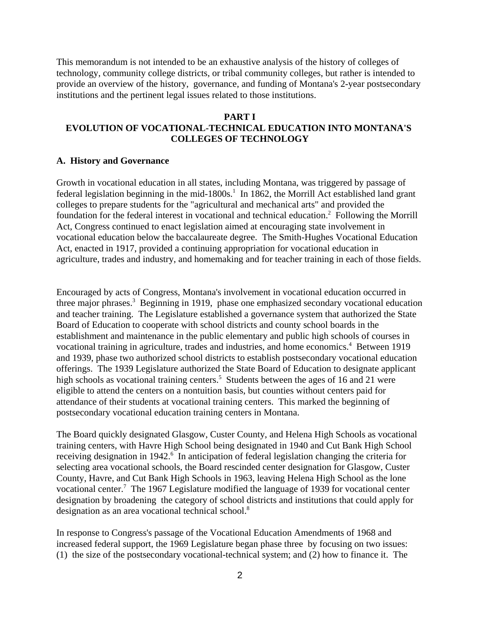This memorandum is not intended to be an exhaustive analysis of the history of colleges of technology, community college districts, or tribal community colleges, but rather is intended to provide an overview of the history, governance, and funding of Montana's 2-year postsecondary institutions and the pertinent legal issues related to those institutions.

#### **PART I**

## **EVOLUTION OF VOCATIONAL-TECHNICAL EDUCATION INTO MONTANA'S COLLEGES OF TECHNOLOGY**

#### **A. History and Governance**

Growth in vocational education in all states, including Montana, was triggered by passage of federal legislation beginning in the mid-1800s.<sup>1</sup> In 1862, the Morrill Act established land grant colleges to prepare students for the "agricultural and mechanical arts" and provided the foundation for the federal interest in vocational and technical education.<sup>2</sup> Following the Morrill Act, Congress continued to enact legislation aimed at encouraging state involvement in vocational education below the baccalaureate degree. The Smith-Hughes Vocational Education Act, enacted in 1917, provided a continuing appropriation for vocational education in agriculture, trades and industry, and homemaking and for teacher training in each of those fields.

Encouraged by acts of Congress, Montana's involvement in vocational education occurred in three major phrases.<sup>3</sup> Beginning in 1919, phase one emphasized secondary vocational education and teacher training. The Legislature established a governance system that authorized the State Board of Education to cooperate with school districts and county school boards in the establishment and maintenance in the public elementary and public high schools of courses in vocational training in agriculture, trades and industries, and home economics.<sup>4</sup> Between 1919 and 1939, phase two authorized school districts to establish postsecondary vocational education offerings. The 1939 Legislature authorized the State Board of Education to designate applicant high schools as vocational training centers.<sup>5</sup> Students between the ages of 16 and 21 were eligible to attend the centers on a nontuition basis, but counties without centers paid for attendance of their students at vocational training centers. This marked the beginning of postsecondary vocational education training centers in Montana.

The Board quickly designated Glasgow, Custer County, and Helena High Schools as vocational training centers, with Havre High School being designated in 1940 and Cut Bank High School receiving designation in 1942.<sup>6</sup> In anticipation of federal legislation changing the criteria for selecting area vocational schools, the Board rescinded center designation for Glasgow, Custer County, Havre, and Cut Bank High Schools in 1963, leaving Helena High School as the lone vocational center.<sup>7</sup> The 1967 Legislature modified the language of 1939 for vocational center designation by broadening the category of school districts and institutions that could apply for designation as an area vocational technical school.<sup>8</sup>

In response to Congress's passage of the Vocational Education Amendments of 1968 and increased federal support, the 1969 Legislature began phase three by focusing on two issues: (1) the size of the postsecondary vocational-technical system; and (2) how to finance it. The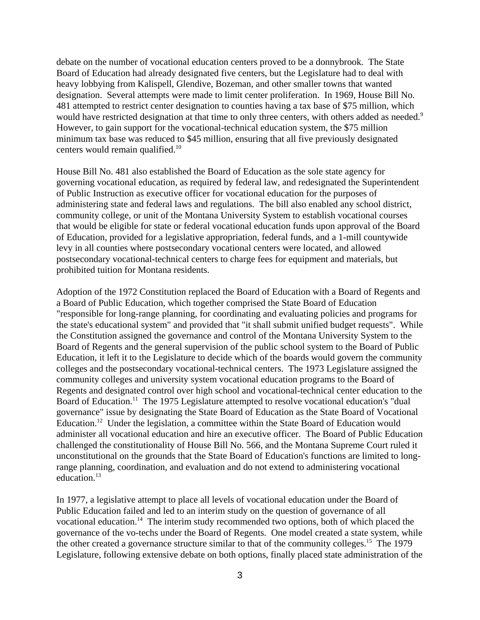debate on the number of vocational education centers proved to be a donnybrook. The State Board of Education had already designated five centers, but the Legislature had to deal with heavy lobbying from Kalispell, Glendive, Bozeman, and other smaller towns that wanted designation. Several attempts were made to limit center proliferation. In 1969, House Bill No. 481 attempted to restrict center designation to counties having a tax base of \$75 million, which would have restricted designation at that time to only three centers, with others added as needed.<sup>9</sup> However, to gain support for the vocational-technical education system, the \$75 million minimum tax base was reduced to \$45 million, ensuring that all five previously designated centers would remain qualified.<sup>10</sup>

House Bill No. 481 also established the Board of Education as the sole state agency for governing vocational education, as required by federal law, and redesignated the Superintendent of Public Instruction as executive officer for vocational education for the purposes of administering state and federal laws and regulations. The bill also enabled any school district, community college, or unit of the Montana University System to establish vocational courses that would be eligible for state or federal vocational education funds upon approval of the Board of Education, provided for a legislative appropriation, federal funds, and a 1-mill countywide levy in all counties where postsecondary vocational centers were located, and allowed postsecondary vocational-technical centers to charge fees for equipment and materials, but prohibited tuition for Montana residents.

Adoption of the 1972 Constitution replaced the Board of Education with a Board of Regents and a Board of Public Education, which together comprised the State Board of Education "responsible for long-range planning, for coordinating and evaluating policies and programs for the state's educational system" and provided that "it shall submit unified budget requests". While the Constitution assigned the governance and control of the Montana University System to the Board of Regents and the general supervision of the public school system to the Board of Public Education, it left it to the Legislature to decide which of the boards would govern the community colleges and the postsecondary vocational-technical centers. The 1973 Legislature assigned the community colleges and university system vocational education programs to the Board of Regents and designated control over high school and vocational-technical center education to the Board of Education.<sup>11</sup> The 1975 Legislature attempted to resolve vocational education's "dual" governance" issue by designating the State Board of Education as the State Board of Vocational Education.<sup>12</sup> Under the legislation, a committee within the State Board of Education would administer all vocational education and hire an executive officer. The Board of Public Education challenged the constitutionality of House Bill No. 566, and the Montana Supreme Court ruled it unconstitutional on the grounds that the State Board of Education's functions are limited to longrange planning, coordination, and evaluation and do not extend to administering vocational education.<sup>13</sup>

In 1977, a legislative attempt to place all levels of vocational education under the Board of Public Education failed and led to an interim study on the question of governance of all vocational education.<sup>14</sup> The interim study recommended two options, both of which placed the governance of the vo-techs under the Board of Regents. One model created a state system, while the other created a governance structure similar to that of the community colleges.<sup>15</sup> The 1979 Legislature, following extensive debate on both options, finally placed state administration of the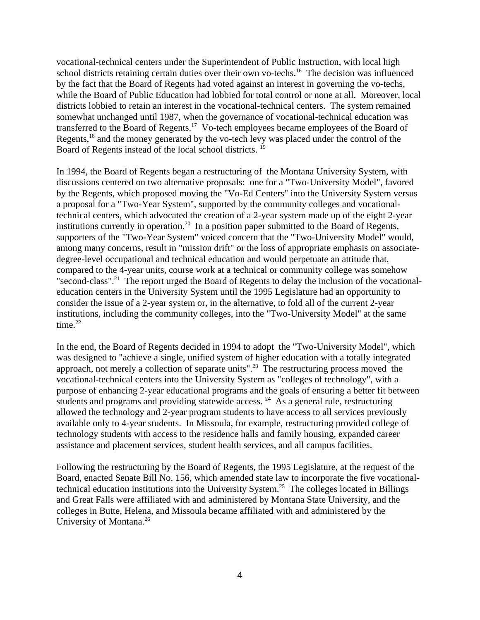vocational-technical centers under the Superintendent of Public Instruction, with local high school districts retaining certain duties over their own vo-techs.<sup>16</sup> The decision was influenced by the fact that the Board of Regents had voted against an interest in governing the vo-techs, while the Board of Public Education had lobbied for total control or none at all. Moreover, local districts lobbied to retain an interest in the vocational-technical centers. The system remained somewhat unchanged until 1987, when the governance of vocational-technical education was transferred to the Board of Regents.<sup>17</sup> Vo-tech employees became employees of the Board of Regents,<sup>18</sup> and the money generated by the vo-tech levy was placed under the control of the Board of Regents instead of the local school districts. 19

In 1994, the Board of Regents began a restructuring of the Montana University System, with discussions centered on two alternative proposals: one for a "Two-University Model", favored by the Regents, which proposed moving the "Vo-Ed Centers" into the University System versus a proposal for a "Two-Year System", supported by the community colleges and vocationaltechnical centers, which advocated the creation of a 2-year system made up of the eight 2-year institutions currently in operation.<sup>20</sup> In a position paper submitted to the Board of Regents, supporters of the "Two-Year System" voiced concern that the "Two-University Model" would, among many concerns, result in "mission drift" or the loss of appropriate emphasis on associatedegree-level occupational and technical education and would perpetuate an attitude that, compared to the 4-year units, course work at a technical or community college was somehow "second-class".<sup>21</sup> The report urged the Board of Regents to delay the inclusion of the vocationaleducation centers in the University System until the 1995 Legislature had an opportunity to consider the issue of a 2-year system or, in the alternative, to fold all of the current 2-year institutions, including the community colleges, into the "Two-University Model" at the same time. $22$ 

In the end, the Board of Regents decided in 1994 to adopt the "Two-University Model", which was designed to "achieve a single, unified system of higher education with a totally integrated approach, not merely a collection of separate units".23 The restructuring process moved the vocational-technical centers into the University System as "colleges of technology", with a purpose of enhancing 2-year educational programs and the goals of ensuring a better fit between students and programs and providing statewide access.  $^{24}$  As a general rule, restructuring allowed the technology and 2-year program students to have access to all services previously available only to 4-year students. In Missoula, for example, restructuring provided college of technology students with access to the residence halls and family housing, expanded career assistance and placement services, student health services, and all campus facilities.

Following the restructuring by the Board of Regents, the 1995 Legislature, at the request of the Board, enacted Senate Bill No. 156, which amended state law to incorporate the five vocationaltechnical education institutions into the University System.<sup>25</sup> The colleges located in Billings and Great Falls were affiliated with and administered by Montana State University, and the colleges in Butte, Helena, and Missoula became affiliated with and administered by the University of Montana.<sup>26</sup>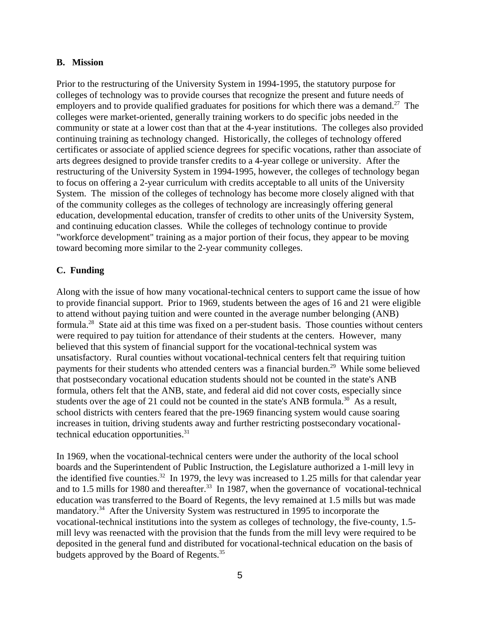#### **B. Mission**

Prior to the restructuring of the University System in 1994-1995, the statutory purpose for colleges of technology was to provide courses that recognize the present and future needs of employers and to provide qualified graduates for positions for which there was a demand.<sup>27</sup> The colleges were market-oriented, generally training workers to do specific jobs needed in the community or state at a lower cost than that at the 4-year institutions. The colleges also provided continuing training as technology changed. Historically, the colleges of technology offered certificates or associate of applied science degrees for specific vocations, rather than associate of arts degrees designed to provide transfer credits to a 4-year college or university. After the restructuring of the University System in 1994-1995, however, the colleges of technology began to focus on offering a 2-year curriculum with credits acceptable to all units of the University System. The mission of the colleges of technology has become more closely aligned with that of the community colleges as the colleges of technology are increasingly offering general education, developmental education, transfer of credits to other units of the University System, and continuing education classes. While the colleges of technology continue to provide "workforce development" training as a major portion of their focus, they appear to be moving toward becoming more similar to the 2-year community colleges.

## **C. Funding**

Along with the issue of how many vocational-technical centers to support came the issue of how to provide financial support. Prior to 1969, students between the ages of 16 and 21 were eligible to attend without paying tuition and were counted in the average number belonging (ANB) formula.28 State aid at this time was fixed on a per-student basis. Those counties without centers were required to pay tuition for attendance of their students at the centers. However, many believed that this system of financial support for the vocational-technical system was unsatisfactory. Rural counties without vocational-technical centers felt that requiring tuition payments for their students who attended centers was a financial burden.<sup>29</sup> While some believed that postsecondary vocational education students should not be counted in the state's ANB formula, others felt that the ANB, state, and federal aid did not cover costs, especially since students over the age of 21 could not be counted in the state's ANB formula.<sup>30</sup> As a result, school districts with centers feared that the pre-1969 financing system would cause soaring increases in tuition, driving students away and further restricting postsecondary vocationaltechnical education opportunities.<sup>31</sup>

In 1969, when the vocational-technical centers were under the authority of the local school boards and the Superintendent of Public Instruction, the Legislature authorized a 1-mill levy in the identified five counties.<sup>32</sup> In 1979, the levy was increased to 1.25 mills for that calendar year and to 1.5 mills for 1980 and thereafter.<sup>33</sup> In 1987, when the governance of vocational-technical education was transferred to the Board of Regents, the levy remained at 1.5 mills but was made mandatory.<sup>34</sup> After the University System was restructured in 1995 to incorporate the vocational-technical institutions into the system as colleges of technology, the five-county, 1.5 mill levy was reenacted with the provision that the funds from the mill levy were required to be deposited in the general fund and distributed for vocational-technical education on the basis of budgets approved by the Board of Regents.<sup>35</sup>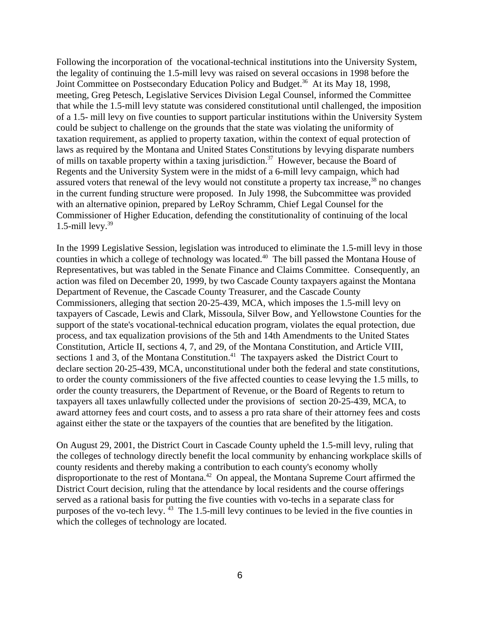Following the incorporation of the vocational-technical institutions into the University System, the legality of continuing the 1.5-mill levy was raised on several occasions in 1998 before the Joint Committee on Postsecondary Education Policy and Budget.<sup>36</sup> At its May 18, 1998, meeting, Greg Petesch, Legislative Services Division Legal Counsel, informed the Committee that while the 1.5-mill levy statute was considered constitutional until challenged, the imposition of a 1.5- mill levy on five counties to support particular institutions within the University System could be subject to challenge on the grounds that the state was violating the uniformity of taxation requirement, as applied to property taxation, within the context of equal protection of laws as required by the Montana and United States Constitutions by levying disparate numbers of mills on taxable property within a taxing jurisdiction.<sup>37</sup> However, because the Board of Regents and the University System were in the midst of a 6-mill levy campaign, which had assured voters that renewal of the levy would not constitute a property tax increase,<sup>38</sup> no changes in the current funding structure were proposed. In July 1998, the Subcommittee was provided with an alternative opinion, prepared by LeRoy Schramm, Chief Legal Counsel for the Commissioner of Higher Education, defending the constitutionality of continuing of the local 1.5-mill levy. $39$ 

In the 1999 Legislative Session, legislation was introduced to eliminate the 1.5-mill levy in those counties in which a college of technology was located.<sup>40</sup> The bill passed the Montana House of Representatives, but was tabled in the Senate Finance and Claims Committee. Consequently, an action was filed on December 20, 1999, by two Cascade County taxpayers against the Montana Department of Revenue, the Cascade County Treasurer, and the Cascade County Commissioners, alleging that section 20-25-439, MCA, which imposes the 1.5-mill levy on taxpayers of Cascade, Lewis and Clark, Missoula, Silver Bow, and Yellowstone Counties for the support of the state's vocational-technical education program, violates the equal protection, due process, and tax equalization provisions of the 5th and 14th Amendments to the United States Constitution, Article II, sections 4, 7, and 29, of the Montana Constitution, and Article VIII, sections 1 and 3, of the Montana Constitution.<sup>41</sup> The taxpayers asked the District Court to declare section 20-25-439, MCA, unconstitutional under both the federal and state constitutions, to order the county commissioners of the five affected counties to cease levying the 1.5 mills, to order the county treasurers, the Department of Revenue, or the Board of Regents to return to taxpayers all taxes unlawfully collected under the provisions of section 20-25-439, MCA, to award attorney fees and court costs, and to assess a pro rata share of their attorney fees and costs against either the state or the taxpayers of the counties that are benefited by the litigation.

On August 29, 2001, the District Court in Cascade County upheld the 1.5-mill levy, ruling that the colleges of technology directly benefit the local community by enhancing workplace skills of county residents and thereby making a contribution to each county's economy wholly disproportionate to the rest of Montana.<sup>42</sup> On appeal, the Montana Supreme Court affirmed the District Court decision, ruling that the attendance by local residents and the course offerings served as a rational basis for putting the five counties with vo-techs in a separate class for purposes of the vo-tech levy.  $43$  The 1.5-mill levy continues to be levied in the five counties in which the colleges of technology are located.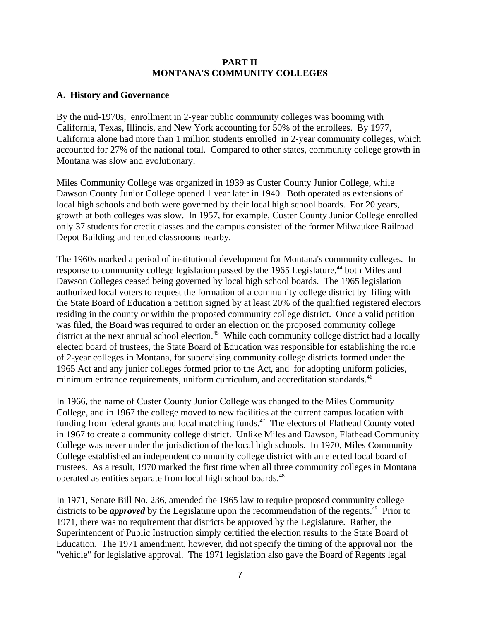## **PART II MONTANA'S COMMUNITY COLLEGES**

## **A. History and Governance**

By the mid-1970s, enrollment in 2-year public community colleges was booming with California, Texas, Illinois, and New York accounting for 50% of the enrollees. By 1977, California alone had more than 1 million students enrolled in 2-year community colleges, which accounted for 27% of the national total. Compared to other states, community college growth in Montana was slow and evolutionary.

Miles Community College was organized in 1939 as Custer County Junior College, while Dawson County Junior College opened 1 year later in 1940. Both operated as extensions of local high schools and both were governed by their local high school boards. For 20 years, growth at both colleges was slow. In 1957, for example, Custer County Junior College enrolled only 37 students for credit classes and the campus consisted of the former Milwaukee Railroad Depot Building and rented classrooms nearby.

The 1960s marked a period of institutional development for Montana's community colleges. In response to community college legislation passed by the 1965 Legislature,<sup>44</sup> both Miles and Dawson Colleges ceased being governed by local high school boards. The 1965 legislation authorized local voters to request the formation of a community college district by filing with the State Board of Education a petition signed by at least 20% of the qualified registered electors residing in the county or within the proposed community college district. Once a valid petition was filed, the Board was required to order an election on the proposed community college district at the next annual school election.<sup>45</sup> While each community college district had a locally elected board of trustees, the State Board of Education was responsible for establishing the role of 2-year colleges in Montana, for supervising community college districts formed under the 1965 Act and any junior colleges formed prior to the Act, and for adopting uniform policies, minimum entrance requirements, uniform curriculum, and accreditation standards.<sup>46</sup>

In 1966, the name of Custer County Junior College was changed to the Miles Community College, and in 1967 the college moved to new facilities at the current campus location with funding from federal grants and local matching funds.<sup>47</sup> The electors of Flathead County voted in 1967 to create a community college district. Unlike Miles and Dawson, Flathead Community College was never under the jurisdiction of the local high schools. In 1970, Miles Community College established an independent community college district with an elected local board of trustees. As a result, 1970 marked the first time when all three community colleges in Montana operated as entities separate from local high school boards.<sup>48</sup>

In 1971, Senate Bill No. 236, amended the 1965 law to require proposed community college districts to be *approved* by the Legislature upon the recommendation of the regents.<sup>49</sup> Prior to 1971, there was no requirement that districts be approved by the Legislature. Rather, the Superintendent of Public Instruction simply certified the election results to the State Board of Education. The 1971 amendment, however, did not specify the timing of the approval nor the "vehicle" for legislative approval. The 1971 legislation also gave the Board of Regents legal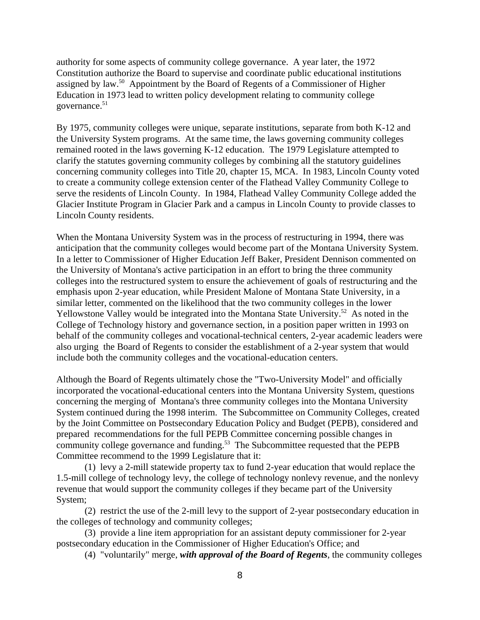authority for some aspects of community college governance. A year later, the 1972 Constitution authorize the Board to supervise and coordinate public educational institutions assigned by law.<sup>50</sup> Appointment by the Board of Regents of a Commissioner of Higher Education in 1973 lead to written policy development relating to community college governance.<sup>51</sup>

By 1975, community colleges were unique, separate institutions, separate from both K-12 and the University System programs. At the same time, the laws governing community colleges remained rooted in the laws governing K-12 education. The 1979 Legislature attempted to clarify the statutes governing community colleges by combining all the statutory guidelines concerning community colleges into Title 20, chapter 15, MCA. In 1983, Lincoln County voted to create a community college extension center of the Flathead Valley Community College to serve the residents of Lincoln County. In 1984, Flathead Valley Community College added the Glacier Institute Program in Glacier Park and a campus in Lincoln County to provide classes to Lincoln County residents.

When the Montana University System was in the process of restructuring in 1994, there was anticipation that the community colleges would become part of the Montana University System. In a letter to Commissioner of Higher Education Jeff Baker, President Dennison commented on the University of Montana's active participation in an effort to bring the three community colleges into the restructured system to ensure the achievement of goals of restructuring and the emphasis upon 2-year education, while President Malone of Montana State University, in a similar letter, commented on the likelihood that the two community colleges in the lower Yellowstone Valley would be integrated into the Montana State University.<sup>52</sup> As noted in the College of Technology history and governance section, in a position paper written in 1993 on behalf of the community colleges and vocational-technical centers, 2-year academic leaders were also urging the Board of Regents to consider the establishment of a 2-year system that would include both the community colleges and the vocational-education centers.

Although the Board of Regents ultimately chose the "Two-University Model" and officially incorporated the vocational-educational centers into the Montana University System, questions concerning the merging of Montana's three community colleges into the Montana University System continued during the 1998 interim. The Subcommittee on Community Colleges, created by the Joint Committee on Postsecondary Education Policy and Budget (PEPB), considered and prepared recommendations for the full PEPB Committee concerning possible changes in community college governance and funding.<sup>53</sup> The Subcommittee requested that the PEPB Committee recommend to the 1999 Legislature that it:

(1) levy a 2-mill statewide property tax to fund 2-year education that would replace the 1.5-mill college of technology levy, the college of technology nonlevy revenue, and the nonlevy revenue that would support the community colleges if they became part of the University System;

(2) restrict the use of the 2-mill levy to the support of 2-year postsecondary education in the colleges of technology and community colleges;

(3) provide a line item appropriation for an assistant deputy commissioner for 2-year postsecondary education in the Commissioner of Higher Education's Office; and

(4) "voluntarily" merge, *with approval of the Board of Regents*, the community colleges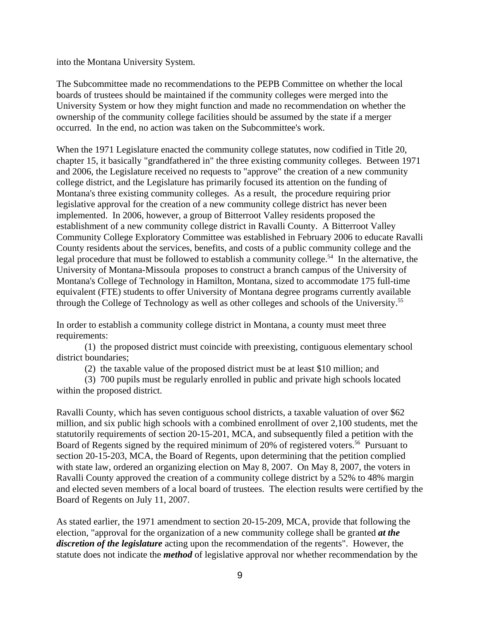into the Montana University System.

The Subcommittee made no recommendations to the PEPB Committee on whether the local boards of trustees should be maintained if the community colleges were merged into the University System or how they might function and made no recommendation on whether the ownership of the community college facilities should be assumed by the state if a merger occurred. In the end, no action was taken on the Subcommittee's work.

When the 1971 Legislature enacted the community college statutes, now codified in Title 20, chapter 15, it basically "grandfathered in" the three existing community colleges. Between 1971 and 2006, the Legislature received no requests to "approve" the creation of a new community college district, and the Legislature has primarily focused its attention on the funding of Montana's three existing community colleges. As a result, the procedure requiring prior legislative approval for the creation of a new community college district has never been implemented. In 2006, however, a group of Bitterroot Valley residents proposed the establishment of a new community college district in Ravalli County. A Bitterroot Valley Community College Exploratory Committee was established in February 2006 to educate Ravalli County residents about the services, benefits, and costs of a public community college and the legal procedure that must be followed to establish a community college.<sup>54</sup> In the alternative, the University of Montana-Missoula proposes to construct a branch campus of the University of Montana's College of Technology in Hamilton, Montana, sized to accommodate 175 full-time equivalent (FTE) students to offer University of Montana degree programs currently available through the College of Technology as well as other colleges and schools of the University.55

In order to establish a community college district in Montana, a county must meet three requirements:

(1) the proposed district must coincide with preexisting, contiguous elementary school district boundaries;

(2) the taxable value of the proposed district must be at least \$10 million; and

(3) 700 pupils must be regularly enrolled in public and private high schools located within the proposed district.

Ravalli County, which has seven contiguous school districts, a taxable valuation of over \$62 million, and six public high schools with a combined enrollment of over 2,100 students, met the statutorily requirements of section 20-15-201, MCA, and subsequently filed a petition with the Board of Regents signed by the required minimum of 20% of registered voters.<sup>56</sup> Pursuant to section 20-15-203, MCA, the Board of Regents, upon determining that the petition complied with state law, ordered an organizing election on May 8, 2007. On May 8, 2007, the voters in Ravalli County approved the creation of a community college district by a 52% to 48% margin and elected seven members of a local board of trustees. The election results were certified by the Board of Regents on July 11, 2007.

As stated earlier, the 1971 amendment to section 20-15-209, MCA, provide that following the election, "approval for the organization of a new community college shall be granted *at the discretion of the legislature* acting upon the recommendation of the regents". However, the statute does not indicate the *method* of legislative approval nor whether recommendation by the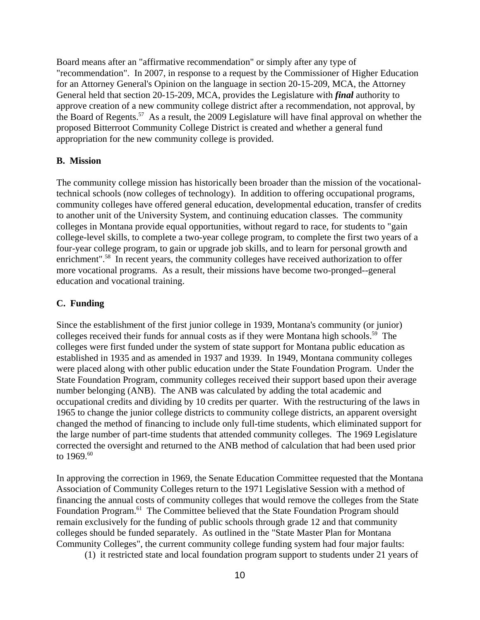Board means after an "affirmative recommendation" or simply after any type of "recommendation". In 2007, in response to a request by the Commissioner of Higher Education for an Attorney General's Opinion on the language in section 20-15-209, MCA, the Attorney General held that section 20-15-209, MCA, provides the Legislature with *final* authority to approve creation of a new community college district after a recommendation, not approval, by the Board of Regents.<sup>57</sup> As a result, the 2009 Legislature will have final approval on whether the proposed Bitterroot Community College District is created and whether a general fund appropriation for the new community college is provided.

#### **B. Mission**

The community college mission has historically been broader than the mission of the vocationaltechnical schools (now colleges of technology). In addition to offering occupational programs, community colleges have offered general education, developmental education, transfer of credits to another unit of the University System, and continuing education classes. The community colleges in Montana provide equal opportunities, without regard to race, for students to "gain college-level skills, to complete a two-year college program, to complete the first two years of a four-year college program, to gain or upgrade job skills, and to learn for personal growth and enrichment".<sup>58</sup> In recent years, the community colleges have received authorization to offer more vocational programs. As a result, their missions have become two-pronged--general education and vocational training.

#### **C. Funding**

Since the establishment of the first junior college in 1939, Montana's community (or junior) colleges received their funds for annual costs as if they were Montana high schools.<sup>59</sup> The colleges were first funded under the system of state support for Montana public education as established in 1935 and as amended in 1937 and 1939. In 1949, Montana community colleges were placed along with other public education under the State Foundation Program. Under the State Foundation Program, community colleges received their support based upon their average number belonging (ANB). The ANB was calculated by adding the total academic and occupational credits and dividing by 10 credits per quarter. With the restructuring of the laws in 1965 to change the junior college districts to community college districts, an apparent oversight changed the method of financing to include only full-time students, which eliminated support for the large number of part-time students that attended community colleges. The 1969 Legislature corrected the oversight and returned to the ANB method of calculation that had been used prior to  $1969^{60}$ 

In approving the correction in 1969, the Senate Education Committee requested that the Montana Association of Community Colleges return to the 1971 Legislative Session with a method of financing the annual costs of community colleges that would remove the colleges from the State Foundation Program.<sup>61</sup> The Committee believed that the State Foundation Program should remain exclusively for the funding of public schools through grade 12 and that community colleges should be funded separately. As outlined in the "State Master Plan for Montana Community Colleges", the current community college funding system had four major faults:

(1) it restricted state and local foundation program support to students under 21 years of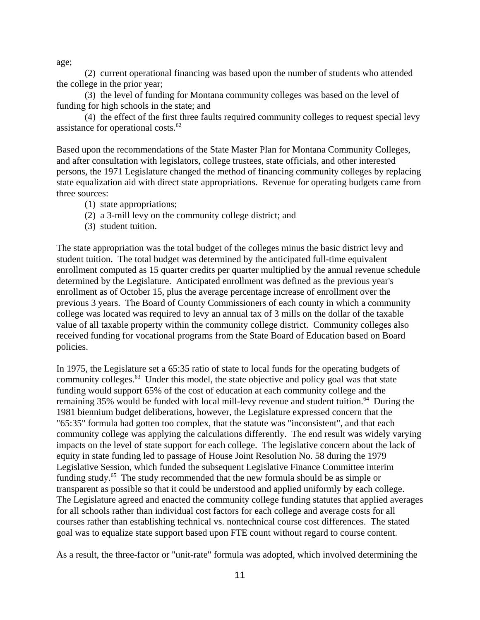age;

(2) current operational financing was based upon the number of students who attended the college in the prior year;

(3) the level of funding for Montana community colleges was based on the level of funding for high schools in the state; and

(4) the effect of the first three faults required community colleges to request special levy assistance for operational costs. $62$ 

Based upon the recommendations of the State Master Plan for Montana Community Colleges, and after consultation with legislators, college trustees, state officials, and other interested persons, the 1971 Legislature changed the method of financing community colleges by replacing state equalization aid with direct state appropriations. Revenue for operating budgets came from three sources:

- (1) state appropriations;
- (2) a 3-mill levy on the community college district; and
- (3) student tuition.

The state appropriation was the total budget of the colleges minus the basic district levy and student tuition. The total budget was determined by the anticipated full-time equivalent enrollment computed as 15 quarter credits per quarter multiplied by the annual revenue schedule determined by the Legislature. Anticipated enrollment was defined as the previous year's enrollment as of October 15, plus the average percentage increase of enrollment over the previous 3 years. The Board of County Commissioners of each county in which a community college was located was required to levy an annual tax of 3 mills on the dollar of the taxable value of all taxable property within the community college district. Community colleges also received funding for vocational programs from the State Board of Education based on Board policies.

In 1975, the Legislature set a 65:35 ratio of state to local funds for the operating budgets of community colleges.<sup>63</sup> Under this model, the state objective and policy goal was that state funding would support 65% of the cost of education at each community college and the remaining 35% would be funded with local mill-levy revenue and student tuition.<sup>64</sup> During the 1981 biennium budget deliberations, however, the Legislature expressed concern that the "65:35" formula had gotten too complex, that the statute was "inconsistent", and that each community college was applying the calculations differently. The end result was widely varying impacts on the level of state support for each college. The legislative concern about the lack of equity in state funding led to passage of House Joint Resolution No. 58 during the 1979 Legislative Session, which funded the subsequent Legislative Finance Committee interim funding study.65 The study recommended that the new formula should be as simple or transparent as possible so that it could be understood and applied uniformly by each college. The Legislature agreed and enacted the community college funding statutes that applied averages for all schools rather than individual cost factors for each college and average costs for all courses rather than establishing technical vs. nontechnical course cost differences. The stated goal was to equalize state support based upon FTE count without regard to course content.

As a result, the three-factor or "unit-rate" formula was adopted, which involved determining the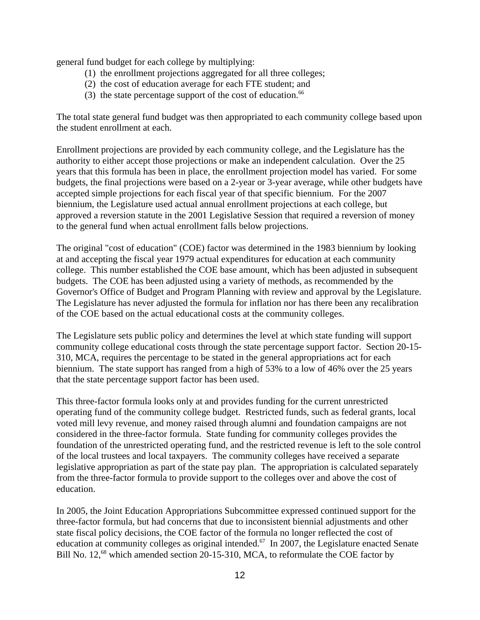general fund budget for each college by multiplying:

- (1) the enrollment projections aggregated for all three colleges;
- (2) the cost of education average for each FTE student; and
- (3) the state percentage support of the cost of education.<sup>66</sup>

The total state general fund budget was then appropriated to each community college based upon the student enrollment at each.

Enrollment projections are provided by each community college, and the Legislature has the authority to either accept those projections or make an independent calculation. Over the 25 years that this formula has been in place, the enrollment projection model has varied. For some budgets, the final projections were based on a 2-year or 3-year average, while other budgets have accepted simple projections for each fiscal year of that specific biennium. For the 2007 biennium, the Legislature used actual annual enrollment projections at each college, but approved a reversion statute in the 2001 Legislative Session that required a reversion of money to the general fund when actual enrollment falls below projections.

The original "cost of education" (COE) factor was determined in the 1983 biennium by looking at and accepting the fiscal year 1979 actual expenditures for education at each community college. This number established the COE base amount, which has been adjusted in subsequent budgets. The COE has been adjusted using a variety of methods, as recommended by the Governor's Office of Budget and Program Planning with review and approval by the Legislature. The Legislature has never adjusted the formula for inflation nor has there been any recalibration of the COE based on the actual educational costs at the community colleges.

The Legislature sets public policy and determines the level at which state funding will support community college educational costs through the state percentage support factor. Section 20-15- 310, MCA, requires the percentage to be stated in the general appropriations act for each biennium. The state support has ranged from a high of 53% to a low of 46% over the 25 years that the state percentage support factor has been used.

This three-factor formula looks only at and provides funding for the current unrestricted operating fund of the community college budget. Restricted funds, such as federal grants, local voted mill levy revenue, and money raised through alumni and foundation campaigns are not considered in the three-factor formula. State funding for community colleges provides the foundation of the unrestricted operating fund, and the restricted revenue is left to the sole control of the local trustees and local taxpayers. The community colleges have received a separate legislative appropriation as part of the state pay plan. The appropriation is calculated separately from the three-factor formula to provide support to the colleges over and above the cost of education.

In 2005, the Joint Education Appropriations Subcommittee expressed continued support for the three-factor formula, but had concerns that due to inconsistent biennial adjustments and other state fiscal policy decisions, the COE factor of the formula no longer reflected the cost of education at community colleges as original intended.<sup>67</sup> In 2007, the Legislature enacted Senate Bill No. 12,<sup>68</sup> which amended section 20-15-310, MCA, to reformulate the COE factor by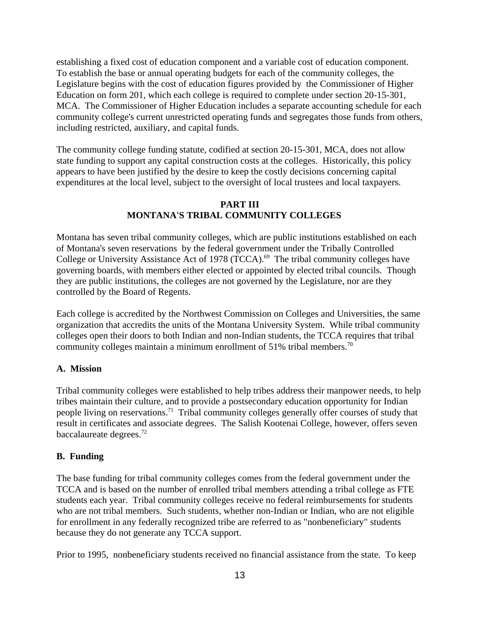establishing a fixed cost of education component and a variable cost of education component. To establish the base or annual operating budgets for each of the community colleges, the Legislature begins with the cost of education figures provided by the Commissioner of Higher Education on form 201, which each college is required to complete under section 20-15-301, MCA. The Commissioner of Higher Education includes a separate accounting schedule for each community college's current unrestricted operating funds and segregates those funds from others, including restricted, auxiliary, and capital funds.

The community college funding statute, codified at section 20-15-301, MCA, does not allow state funding to support any capital construction costs at the colleges. Historically, this policy appears to have been justified by the desire to keep the costly decisions concerning capital expenditures at the local level, subject to the oversight of local trustees and local taxpayers.

## **PART III MONTANA'S TRIBAL COMMUNITY COLLEGES**

Montana has seven tribal community colleges, which are public institutions established on each of Montana's seven reservations by the federal government under the Tribally Controlled College or University Assistance Act of 1978 (TCCA).<sup>69</sup> The tribal community colleges have governing boards, with members either elected or appointed by elected tribal councils. Though they are public institutions, the colleges are not governed by the Legislature, nor are they controlled by the Board of Regents.

Each college is accredited by the Northwest Commission on Colleges and Universities, the same organization that accredits the units of the Montana University System. While tribal community colleges open their doors to both Indian and non-Indian students, the TCCA requires that tribal community colleges maintain a minimum enrollment of 51% tribal members.<sup>70</sup>

# **A. Mission**

Tribal community colleges were established to help tribes address their manpower needs, to help tribes maintain their culture, and to provide a postsecondary education opportunity for Indian people living on reservations.71 Tribal community colleges generally offer courses of study that result in certificates and associate degrees. The Salish Kootenai College, however, offers seven baccalaureate degrees.72

# **B. Funding**

The base funding for tribal community colleges comes from the federal government under the TCCA and is based on the number of enrolled tribal members attending a tribal college as FTE students each year. Tribal community colleges receive no federal reimbursements for students who are not tribal members. Such students, whether non-Indian or Indian, who are not eligible for enrollment in any federally recognized tribe are referred to as "nonbeneficiary" students because they do not generate any TCCA support.

Prior to 1995, nonbeneficiary students received no financial assistance from the state. To keep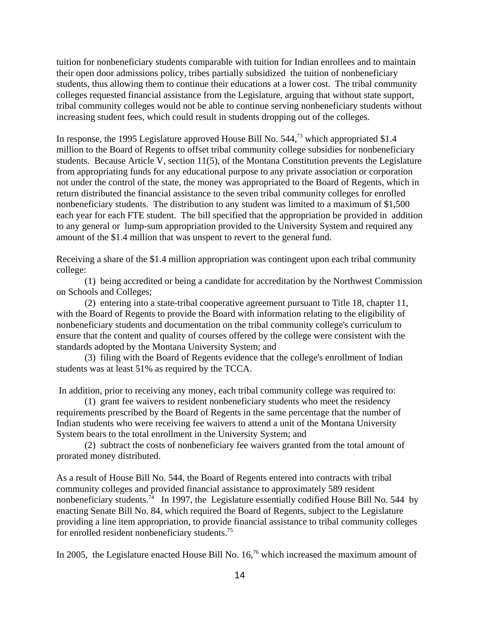tuition for nonbeneficiary students comparable with tuition for Indian enrollees and to maintain their open door admissions policy, tribes partially subsidized the tuition of nonbeneficiary students, thus allowing them to continue their educations at a lower cost. The tribal community colleges requested financial assistance from the Legislature, arguing that without state support, tribal community colleges would not be able to continue serving nonbeneficiary students without increasing student fees, which could result in students dropping out of the colleges.

In response, the 1995 Legislature approved House Bill No. 544,<sup>73</sup> which appropriated \$1.4 million to the Board of Regents to offset tribal community college subsidies for nonbeneficiary students. Because Article V, section 11(5), of the Montana Constitution prevents the Legislature from appropriating funds for any educational purpose to any private association or corporation not under the control of the state, the money was appropriated to the Board of Regents, which in return distributed the financial assistance to the seven tribal community colleges for enrolled nonbeneficiary students. The distribution to any student was limited to a maximum of \$1,500 each year for each FTE student. The bill specified that the appropriation be provided in addition to any general or lump-sum appropriation provided to the University System and required any amount of the \$1.4 million that was unspent to revert to the general fund.

Receiving a share of the \$1.4 million appropriation was contingent upon each tribal community college:

(1) being accredited or being a candidate for accreditation by the Northwest Commission on Schools and Colleges;

(2) entering into a state-tribal cooperative agreement pursuant to Title 18, chapter 11, with the Board of Regents to provide the Board with information relating to the eligibility of nonbeneficiary students and documentation on the tribal community college's curriculum to ensure that the content and quality of courses offered by the college were consistent with the standards adopted by the Montana University System; and

(3) filing with the Board of Regents evidence that the college's enrollment of Indian students was at least 51% as required by the TCCA.

In addition, prior to receiving any money, each tribal community college was required to:

(1) grant fee waivers to resident nonbeneficiary students who meet the residency requirements prescribed by the Board of Regents in the same percentage that the number of Indian students who were receiving fee waivers to attend a unit of the Montana University System bears to the total enrollment in the University System; and

(2) subtract the costs of nonbeneficiary fee waivers granted from the total amount of prorated money distributed.

As a result of House Bill No. 544, the Board of Regents entered into contracts with tribal community colleges and provided financial assistance to approximately 589 resident nonbeneficiary students.<sup>74</sup> In 1997, the Legislature essentially codified House Bill No. 544 by enacting Senate Bill No. 84, which required the Board of Regents, subject to the Legislature providing a line item appropriation, to provide financial assistance to tribal community colleges for enrolled resident nonbeneficiary students.75

In 2005, the Legislature enacted House Bill No. 16,<sup>76</sup> which increased the maximum amount of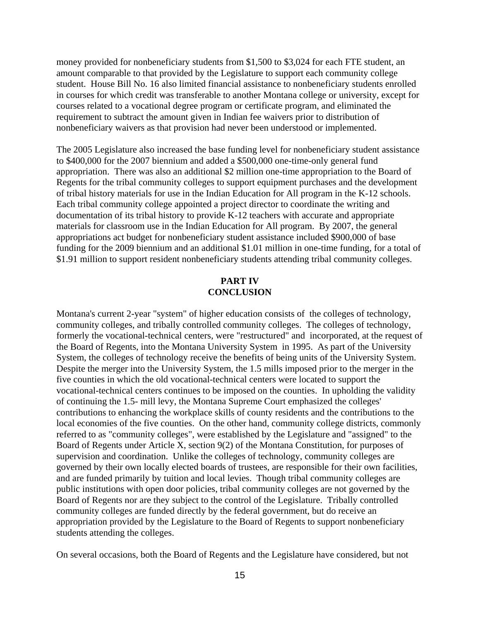money provided for nonbeneficiary students from \$1,500 to \$3,024 for each FTE student, an amount comparable to that provided by the Legislature to support each community college student. House Bill No. 16 also limited financial assistance to nonbeneficiary students enrolled in courses for which credit was transferable to another Montana college or university, except for courses related to a vocational degree program or certificate program, and eliminated the requirement to subtract the amount given in Indian fee waivers prior to distribution of nonbeneficiary waivers as that provision had never been understood or implemented.

The 2005 Legislature also increased the base funding level for nonbeneficiary student assistance to \$400,000 for the 2007 biennium and added a \$500,000 one-time-only general fund appropriation. There was also an additional \$2 million one-time appropriation to the Board of Regents for the tribal community colleges to support equipment purchases and the development of tribal history materials for use in the Indian Education for All program in the K-12 schools. Each tribal community college appointed a project director to coordinate the writing and documentation of its tribal history to provide K-12 teachers with accurate and appropriate materials for classroom use in the Indian Education for All program. By 2007, the general appropriations act budget for nonbeneficiary student assistance included \$900,000 of base funding for the 2009 biennium and an additional \$1.01 million in one-time funding, for a total of \$1.91 million to support resident nonbeneficiary students attending tribal community colleges.

## **PART IV CONCLUSION**

Montana's current 2-year "system" of higher education consists of the colleges of technology, community colleges, and tribally controlled community colleges. The colleges of technology, formerly the vocational-technical centers, were "restructured" and incorporated, at the request of the Board of Regents, into the Montana University System in 1995. As part of the University System, the colleges of technology receive the benefits of being units of the University System. Despite the merger into the University System, the 1.5 mills imposed prior to the merger in the five counties in which the old vocational-technical centers were located to support the vocational-technical centers continues to be imposed on the counties. In upholding the validity of continuing the 1.5- mill levy, the Montana Supreme Court emphasized the colleges' contributions to enhancing the workplace skills of county residents and the contributions to the local economies of the five counties. On the other hand, community college districts, commonly referred to as "community colleges", were established by the Legislature and "assigned" to the Board of Regents under Article X, section 9(2) of the Montana Constitution, for purposes of supervision and coordination. Unlike the colleges of technology, community colleges are governed by their own locally elected boards of trustees, are responsible for their own facilities, and are funded primarily by tuition and local levies. Though tribal community colleges are public institutions with open door policies, tribal community colleges are not governed by the Board of Regents nor are they subject to the control of the Legislature. Tribally controlled community colleges are funded directly by the federal government, but do receive an appropriation provided by the Legislature to the Board of Regents to support nonbeneficiary students attending the colleges.

On several occasions, both the Board of Regents and the Legislature have considered, but not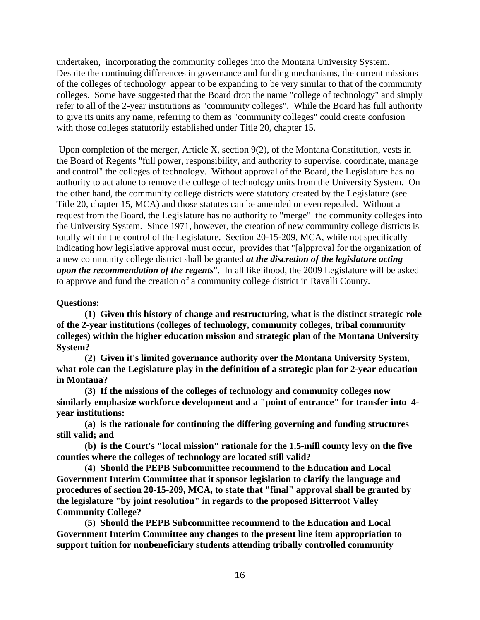undertaken, incorporating the community colleges into the Montana University System. Despite the continuing differences in governance and funding mechanisms, the current missions of the colleges of technology appear to be expanding to be very similar to that of the community colleges. Some have suggested that the Board drop the name "college of technology" and simply refer to all of the 2-year institutions as "community colleges". While the Board has full authority to give its units any name, referring to them as "community colleges" could create confusion with those colleges statutorily established under Title 20, chapter 15.

 Upon completion of the merger, Article X, section 9(2), of the Montana Constitution, vests in the Board of Regents "full power, responsibility, and authority to supervise, coordinate, manage and control" the colleges of technology. Without approval of the Board, the Legislature has no authority to act alone to remove the college of technology units from the University System. On the other hand, the community college districts were statutory created by the Legislature (see Title 20, chapter 15, MCA) and those statutes can be amended or even repealed. Without a request from the Board, the Legislature has no authority to "merge" the community colleges into the University System. Since 1971, however, the creation of new community college districts is totally within the control of the Legislature. Section 20-15-209, MCA, while not specifically indicating how legislative approval must occur, provides that "[a]pproval for the organization of a new community college district shall be granted *at the discretion of the legislature acting upon the recommendation of the regents*". In all likelihood, the 2009 Legislature will be asked to approve and fund the creation of a community college district in Ravalli County.

**Questions:**

**(1) Given this history of change and restructuring, what is the distinct strategic role of the 2-year institutions (colleges of technology, community colleges, tribal community colleges) within the higher education mission and strategic plan of the Montana University System?** 

**(2) Given it's limited governance authority over the Montana University System, what role can the Legislature play in the definition of a strategic plan for 2-year education in Montana?**

**(3) If the missions of the colleges of technology and community colleges now similarly emphasize workforce development and a "point of entrance" for transfer into 4 year institutions:**

**(a) is the rationale for continuing the differing governing and funding structures still valid; and** 

**(b) is the Court's "local mission" rationale for the 1.5-mill county levy on the five counties where the colleges of technology are located still valid?** 

**(4) Should the PEPB Subcommittee recommend to the Education and Local Government Interim Committee that it sponsor legislation to clarify the language and procedures of section 20-15-209, MCA, to state that "final" approval shall be granted by the legislature "by joint resolution" in regards to the proposed Bitterroot Valley Community College?**

**(5) Should the PEPB Subcommittee recommend to the Education and Local Government Interim Committee any changes to the present line item appropriation to support tuition for nonbeneficiary students attending tribally controlled community**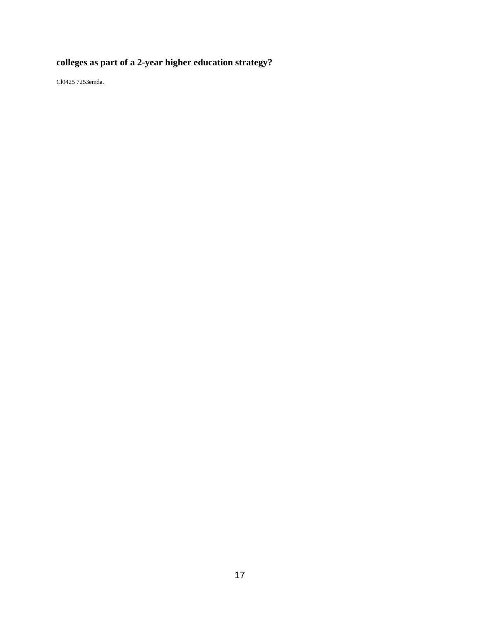# **colleges as part of a 2-year higher education strategy?**

Cl0425 7253emda.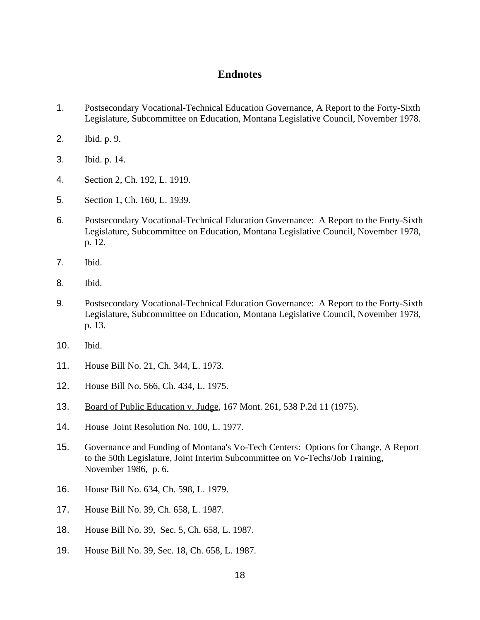## **Endnotes**

- 1. Postsecondary Vocational-Technical Education Governance, A Report to the Forty-Sixth Legislature, Subcommittee on Education, Montana Legislative Council, November 1978.
- 2. Ibid. p. 9.
- 3. Ibid. p. 14.
- 4. Section 2, Ch. 192, L. 1919.
- 5. Section 1, Ch. 160, L. 1939.
- 6. Postsecondary Vocational-Technical Education Governance: A Report to the Forty-Sixth Legislature, Subcommittee on Education, Montana Legislative Council, November 1978, p. 12.
- 7. Ibid.
- 8. Ibid.
- 9. Postsecondary Vocational-Technical Education Governance: A Report to the Forty-Sixth Legislature, Subcommittee on Education, Montana Legislative Council, November 1978, p. 13.
- 10. Ibid.
- 11. House Bill No. 21, Ch. 344, L. 1973.
- 12. House Bill No. 566, Ch. 434, L. 1975.
- 13. Board of Public Education v. Judge, 167 Mont. 261, 538 P.2d 11 (1975).
- 14. House Joint Resolution No. 100, L. 1977.
- 15. Governance and Funding of Montana's Vo-Tech Centers: Options for Change, A Report to the 50th Legislature, Joint Interim Subcommittee on Vo-Techs/Job Training, November 1986, p. 6.
- 16. House Bill No. 634, Ch. 598, L. 1979.
- 17. House Bill No. 39, Ch. 658, L. 1987.
- 18. House Bill No. 39, Sec. 5, Ch. 658, L. 1987.
- 19. House Bill No. 39, Sec. 18, Ch. 658, L. 1987.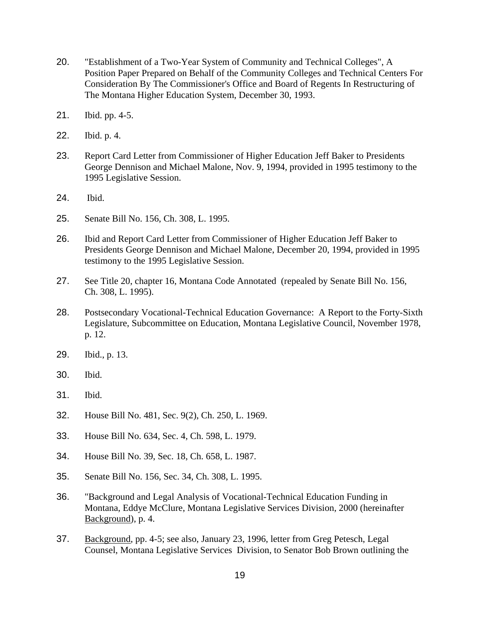- 20. "Establishment of a Two-Year System of Community and Technical Colleges", A Position Paper Prepared on Behalf of the Community Colleges and Technical Centers For Consideration By The Commissioner's Office and Board of Regents In Restructuring of The Montana Higher Education System, December 30, 1993.
- 21. Ibid. pp. 4-5.
- 22. Ibid. p. 4.
- 23. Report Card Letter from Commissioner of Higher Education Jeff Baker to Presidents George Dennison and Michael Malone, Nov. 9, 1994, provided in 1995 testimony to the 1995 Legislative Session.
- 24. Ibid.
- 25. Senate Bill No. 156, Ch. 308, L. 1995.
- 26. Ibid and Report Card Letter from Commissioner of Higher Education Jeff Baker to Presidents George Dennison and Michael Malone, December 20, 1994, provided in 1995 testimony to the 1995 Legislative Session.
- 27. See Title 20, chapter 16, Montana Code Annotated (repealed by Senate Bill No. 156, Ch. 308, L. 1995).
- 28. Postsecondary Vocational-Technical Education Governance: A Report to the Forty-Sixth Legislature, Subcommittee on Education, Montana Legislative Council, November 1978, p. 12.
- 29. Ibid., p. 13.
- 30. Ibid.
- 31. Ibid.
- 32. House Bill No. 481, Sec. 9(2), Ch. 250, L. 1969.
- 33. House Bill No. 634, Sec. 4, Ch. 598, L. 1979.
- 34. House Bill No. 39, Sec. 18, Ch. 658, L. 1987.
- 35. Senate Bill No. 156, Sec. 34, Ch. 308, L. 1995.
- 36. "Background and Legal Analysis of Vocational-Technical Education Funding in Montana, Eddye McClure, Montana Legislative Services Division, 2000 (hereinafter Background), p. 4.
- 37. Background, pp. 4-5; see also, January 23, 1996, letter from Greg Petesch, Legal Counsel, Montana Legislative Services Division, to Senator Bob Brown outlining the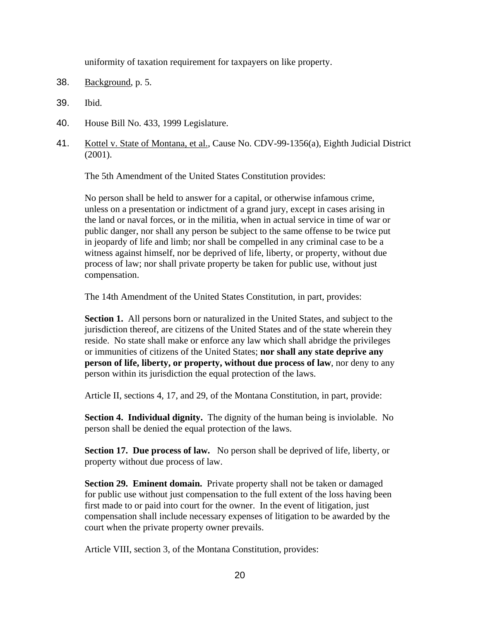uniformity of taxation requirement for taxpayers on like property.

- 38. Background, p. 5.
- 39. Ibid.
- 40. House Bill No. 433, 1999 Legislature.
- 41. Kottel v. State of Montana, et al., Cause No. CDV-99-1356(a), Eighth Judicial District (2001).

The 5th Amendment of the United States Constitution provides:

No person shall be held to answer for a capital, or otherwise infamous crime, unless on a presentation or indictment of a grand jury, except in cases arising in the land or naval forces, or in the militia, when in actual service in time of war or public danger, nor shall any person be subject to the same offense to be twice put in jeopardy of life and limb; nor shall be compelled in any criminal case to be a witness against himself, nor be deprived of life, liberty, or property, without due process of law; nor shall private property be taken for public use, without just compensation.

The 14th Amendment of the United States Constitution, in part, provides:

**Section 1.** All persons born or naturalized in the United States, and subject to the jurisdiction thereof, are citizens of the United States and of the state wherein they reside. No state shall make or enforce any law which shall abridge the privileges or immunities of citizens of the United States; **nor shall any state deprive any person of life, liberty, or property, without due process of law**, nor deny to any person within its jurisdiction the equal protection of the laws.

Article II, sections 4, 17, and 29, of the Montana Constitution, in part, provide:

**Section 4. Individual dignity.** The dignity of the human being is inviolable. No person shall be denied the equal protection of the laws.

**Section 17. Due process of law.** No person shall be deprived of life, liberty, or property without due process of law.

**Section 29. Eminent domain.** Private property shall not be taken or damaged for public use without just compensation to the full extent of the loss having been first made to or paid into court for the owner. In the event of litigation, just compensation shall include necessary expenses of litigation to be awarded by the court when the private property owner prevails.

Article VIII, section 3, of the Montana Constitution, provides: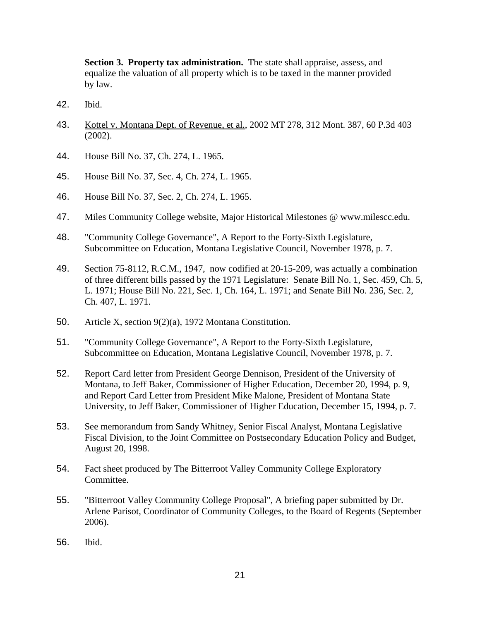**Section 3. Property tax administration.** The state shall appraise, assess, and equalize the valuation of all property which is to be taxed in the manner provided by law.

- 42. Ibid.
- 43. Kottel v. Montana Dept. of Revenue, et al., 2002 MT 278, 312 Mont. 387, 60 P.3d 403 (2002).
- 44. House Bill No. 37, Ch. 274, L. 1965.
- 45. House Bill No. 37, Sec. 4, Ch. 274, L. 1965.
- 46. House Bill No. 37, Sec. 2, Ch. 274, L. 1965.
- 47. Miles Community College website, Major Historical Milestones @ www.milescc.edu.
- 48. "Community College Governance", A Report to the Forty-Sixth Legislature, Subcommittee on Education, Montana Legislative Council, November 1978, p. 7.
- 49. Section 75-8112, R.C.M., 1947, now codified at 20-15-209, was actually a combination of three different bills passed by the 1971 Legislature: Senate Bill No. 1, Sec. 459, Ch. 5, L. 1971; House Bill No. 221, Sec. 1, Ch. 164, L. 1971; and Senate Bill No. 236, Sec. 2, Ch. 407, L. 1971.
- 50. Article X, section 9(2)(a), 1972 Montana Constitution.
- 51. "Community College Governance", A Report to the Forty-Sixth Legislature, Subcommittee on Education, Montana Legislative Council, November 1978, p. 7.
- 52. Report Card letter from President George Dennison, President of the University of Montana, to Jeff Baker, Commissioner of Higher Education, December 20, 1994, p. 9, and Report Card Letter from President Mike Malone, President of Montana State University, to Jeff Baker, Commissioner of Higher Education, December 15, 1994, p. 7.
- 53. See memorandum from Sandy Whitney, Senior Fiscal Analyst, Montana Legislative Fiscal Division, to the Joint Committee on Postsecondary Education Policy and Budget, August 20, 1998.
- 54. Fact sheet produced by The Bitterroot Valley Community College Exploratory Committee.
- 55. "Bitterroot Valley Community College Proposal", A briefing paper submitted by Dr. Arlene Parisot, Coordinator of Community Colleges, to the Board of Regents (September 2006).
- 56. Ibid.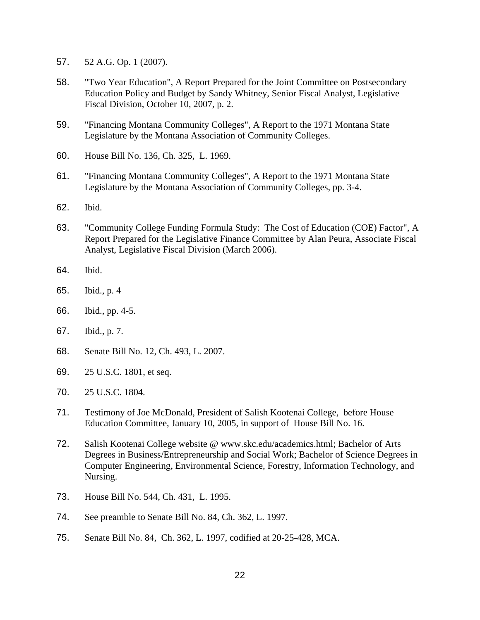- 57. 52 A.G. Op. 1 (2007).
- 58. "Two Year Education", A Report Prepared for the Joint Committee on Postsecondary Education Policy and Budget by Sandy Whitney, Senior Fiscal Analyst, Legislative Fiscal Division, October 10, 2007, p. 2.
- 59. "Financing Montana Community Colleges", A Report to the 1971 Montana State Legislature by the Montana Association of Community Colleges.
- 60. House Bill No. 136, Ch. 325, L. 1969.
- 61. "Financing Montana Community Colleges", A Report to the 1971 Montana State Legislature by the Montana Association of Community Colleges, pp. 3-4.
- 62. Ibid.
- 63. "Community College Funding Formula Study: The Cost of Education (COE) Factor", A Report Prepared for the Legislative Finance Committee by Alan Peura, Associate Fiscal Analyst, Legislative Fiscal Division (March 2006).
- 64. Ibid.
- 65. Ibid., p. 4
- 66. Ibid., pp. 4-5.
- 67. Ibid., p. 7.
- 68. Senate Bill No. 12, Ch. 493, L. 2007.
- 69. 25 U.S.C. 1801, et seq.
- 70. 25 U.S.C. 1804.
- 71. Testimony of Joe McDonald, President of Salish Kootenai College, before House Education Committee, January 10, 2005, in support of House Bill No. 16.
- 72. Salish Kootenai College website @ www.skc.edu/academics.html; Bachelor of Arts Degrees in Business/Entrepreneurship and Social Work; Bachelor of Science Degrees in Computer Engineering, Environmental Science, Forestry, Information Technology, and Nursing.
- 73. House Bill No. 544, Ch. 431, L. 1995.
- 74. See preamble to Senate Bill No. 84, Ch. 362, L. 1997.
- 75. Senate Bill No. 84, Ch. 362, L. 1997, codified at 20-25-428, MCA.